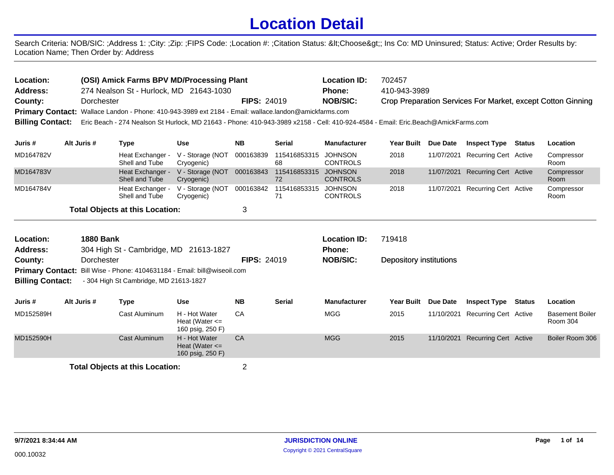## **Location Detail**

Search Criteria: NOB/SIC: ;Address 1: ;City: ;Zip: ;FIPS Code: ;Location #: ;Citation Status: <Choose&gt;; Ins Co: MD Uninsured; Status: Active; Order Results by: Location Name; Then Order by: Address

| Location:<br>Address:   |                  | (OSI) Amick Farms BPV MD/Processing Plant<br>274 Nealson St - Hurlock, MD 21643-1030                                              |                                                         |                    |                    | <b>Location ID:</b><br><b>Phone:</b> | 702457<br>410-943-3989  |                 |                                  |               |                                                             |
|-------------------------|------------------|-----------------------------------------------------------------------------------------------------------------------------------|---------------------------------------------------------|--------------------|--------------------|--------------------------------------|-------------------------|-----------------|----------------------------------|---------------|-------------------------------------------------------------|
| County:                 | Dorchester       |                                                                                                                                   |                                                         | <b>FIPS: 24019</b> |                    | <b>NOB/SIC:</b>                      |                         |                 |                                  |               | Crop Preparation Services For Market, except Cotton Ginning |
|                         |                  | Primary Contact: Wallace Landon - Phone: 410-943-3989 ext 2184 - Email: wallace.landon@amickfarms.com                             |                                                         |                    |                    |                                      |                         |                 |                                  |               |                                                             |
| <b>Billing Contact:</b> |                  | Eric Beach - 274 Nealson St Hurlock, MD 21643 - Phone: 410-943-3989 x2158 - Cell: 410-924-4584 - Email: Eric.Beach@AmickFarms.com |                                                         |                    |                    |                                      |                         |                 |                                  |               |                                                             |
| Juris #                 | Alt Juris #      | <b>Type</b>                                                                                                                       | <b>Use</b>                                              | <b>NB</b>          | <b>Serial</b>      | <b>Manufacturer</b>                  | <b>Year Built</b>       | Due Date        | <b>Inspect Type</b>              | <b>Status</b> | Location                                                    |
| MD164782V               |                  | Heat Exchanger -<br>Shell and Tube                                                                                                | V - Storage (NOT<br>Cryogenic)                          | 000163839          | 115416853315<br>68 | <b>JOHNSON</b><br><b>CONTROLS</b>    | 2018                    | 11/07/2021      | <b>Recurring Cert Active</b>     |               | Compressor<br>Room                                          |
| MD164783V               |                  | Heat Exchanger -<br>Shell and Tube                                                                                                | V - Storage (NOT<br>Cryogenic)                          | 000163843          | 115416853315<br>72 | <b>JOHNSON</b><br><b>CONTROLS</b>    | 2018                    | 11/07/2021      | <b>Recurring Cert Active</b>     |               | Compressor<br>Room                                          |
| MD164784V               |                  | Heat Exchanger -<br>Shell and Tube                                                                                                | V - Storage (NOT<br>Cryogenic)                          | 000163842          | 115416853315<br>71 | <b>JOHNSON</b><br><b>CONTROLS</b>    | 2018                    |                 | 11/07/2021 Recurring Cert Active |               | Compressor<br>Room                                          |
|                         |                  | <b>Total Objects at this Location:</b>                                                                                            |                                                         | 3                  |                    |                                      |                         |                 |                                  |               |                                                             |
| Location:               | <b>1880 Bank</b> |                                                                                                                                   |                                                         |                    |                    | <b>Location ID:</b>                  | 719418                  |                 |                                  |               |                                                             |
| <b>Address:</b>         |                  | 304 High St - Cambridge, MD 21613-1827                                                                                            |                                                         |                    |                    | <b>Phone:</b>                        |                         |                 |                                  |               |                                                             |
| County:                 | Dorchester       |                                                                                                                                   |                                                         | <b>FIPS: 24019</b> |                    | <b>NOB/SIC:</b>                      | Depository institutions |                 |                                  |               |                                                             |
| <b>Primary Contact:</b> |                  | Bill Wise - Phone: 4104631184 - Email: bill@wiseoil.com                                                                           |                                                         |                    |                    |                                      |                         |                 |                                  |               |                                                             |
| <b>Billing Contact:</b> |                  | - 304 High St Cambridge, MD 21613-1827                                                                                            |                                                         |                    |                    |                                      |                         |                 |                                  |               |                                                             |
| Juris #                 | Alt Juris #      | <b>Type</b>                                                                                                                       | <b>Use</b>                                              | <b>NB</b>          | <b>Serial</b>      | <b>Manufacturer</b>                  | <b>Year Built</b>       | <b>Due Date</b> | <b>Inspect Type</b>              | <b>Status</b> | Location                                                    |
| MD152589H               |                  | <b>Cast Aluminum</b>                                                                                                              | H - Hot Water<br>Heat (Water $\leq$<br>160 psig, 250 F) | CA                 |                    | <b>MGG</b>                           | 2015                    | 11/10/2021      | <b>Recurring Cert Active</b>     |               | <b>Basement Boiler</b><br><b>Room 304</b>                   |
| MD152590H               |                  | <b>Cast Aluminum</b>                                                                                                              | H - Hot Water<br>Heat (Water $\leq$<br>160 psig, 250 F) | CA                 |                    | <b>MGG</b>                           | 2015                    | 11/10/2021      | <b>Recurring Cert Active</b>     |               | Boiler Room 306                                             |
|                         |                  | <b>Total Objects at this Location:</b>                                                                                            |                                                         | $\overline{2}$     |                    |                                      |                         |                 |                                  |               |                                                             |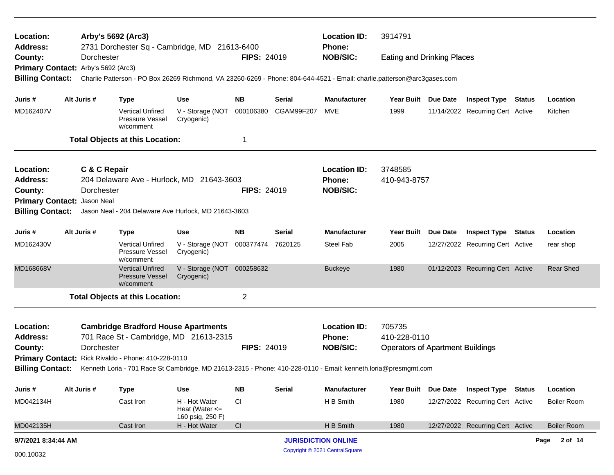| Location:<br><b>Address:</b>        | Arby's 5692 (Arc3) |                                                                | 2731 Dorchester Sq - Cambridge, MD 21613-6400                                                                           |                    |               | <b>Location ID:</b><br><b>Phone:</b> | 3914791                                 |          |                                  |                    |
|-------------------------------------|--------------------|----------------------------------------------------------------|-------------------------------------------------------------------------------------------------------------------------|--------------------|---------------|--------------------------------------|-----------------------------------------|----------|----------------------------------|--------------------|
| County:                             | Dorchester         |                                                                |                                                                                                                         | <b>FIPS: 24019</b> |               | <b>NOB/SIC:</b>                      | <b>Eating and Drinking Places</b>       |          |                                  |                    |
| Primary Contact: Arby's 5692 (Arc3) |                    |                                                                |                                                                                                                         |                    |               |                                      |                                         |          |                                  |                    |
| <b>Billing Contact:</b>             |                    |                                                                | Charlie Patterson - PO Box 26269 Richmond, VA 23260-6269 - Phone: 804-644-4521 - Email: charlie.patterson@arc3gases.com |                    |               |                                      |                                         |          |                                  |                    |
| Juris #                             | Alt Juris #        | <b>Type</b>                                                    | Use                                                                                                                     | <b>NB</b>          | <b>Serial</b> | <b>Manufacturer</b>                  | <b>Year Built</b>                       | Due Date | <b>Inspect Type Status</b>       | Location           |
| MD162407V                           |                    | <b>Vertical Unfired</b><br>Pressure Vessel<br>w/comment        | V - Storage (NOT<br>Cryogenic)                                                                                          | 000106380          | CGAM99F207    | <b>MVE</b>                           | 1999                                    |          | 11/14/2022 Recurring Cert Active | Kitchen            |
|                                     |                    | <b>Total Objects at this Location:</b>                         |                                                                                                                         | -1                 |               |                                      |                                         |          |                                  |                    |
| Location:                           | C & C Repair       |                                                                |                                                                                                                         |                    |               | <b>Location ID:</b>                  | 3748585                                 |          |                                  |                    |
| <b>Address:</b>                     |                    |                                                                | 204 Delaware Ave - Hurlock, MD 21643-3603                                                                               |                    |               | <b>Phone:</b>                        | 410-943-8757                            |          |                                  |                    |
| County:                             | Dorchester         |                                                                |                                                                                                                         | <b>FIPS: 24019</b> |               | <b>NOB/SIC:</b>                      |                                         |          |                                  |                    |
| Primary Contact: Jason Neal         |                    |                                                                |                                                                                                                         |                    |               |                                      |                                         |          |                                  |                    |
| <b>Billing Contact:</b>             |                    |                                                                | Jason Neal - 204 Delaware Ave Hurlock, MD 21643-3603                                                                    |                    |               |                                      |                                         |          |                                  |                    |
| Juris #                             | Alt Juris #        | <b>Type</b>                                                    | Use                                                                                                                     | <b>NB</b>          | Serial        | <b>Manufacturer</b>                  | <b>Year Built</b>                       | Due Date | <b>Inspect Type Status</b>       | Location           |
| MD162430V                           |                    | <b>Vertical Unfired</b><br>Pressure Vessel<br>w/comment        | V - Storage (NOT 000377474<br>Cryogenic)                                                                                |                    | 7620125       | Steel Fab                            | 2005                                    |          | 12/27/2022 Recurring Cert Active | rear shop          |
| MD168668V                           |                    | <b>Vertical Unfired</b><br><b>Pressure Vessel</b><br>w/comment | V - Storage (NOT 000258632<br>Cryogenic)                                                                                |                    |               | <b>Buckeye</b>                       | 1980                                    |          | 01/12/2023 Recurring Cert Active | <b>Rear Shed</b>   |
|                                     |                    | <b>Total Objects at this Location:</b>                         |                                                                                                                         | $\overline{2}$     |               |                                      |                                         |          |                                  |                    |
| Location:                           |                    | <b>Cambridge Bradford House Apartments</b>                     |                                                                                                                         |                    |               | <b>Location ID:</b>                  | 705735                                  |          |                                  |                    |
| <b>Address:</b>                     |                    |                                                                | 701 Race St - Cambridge, MD 21613-2315                                                                                  |                    |               | <b>Phone:</b>                        | 410-228-0110                            |          |                                  |                    |
| County:                             | Dorchester         |                                                                |                                                                                                                         | <b>FIPS: 24019</b> |               | <b>NOB/SIC:</b>                      | <b>Operators of Apartment Buildings</b> |          |                                  |                    |
|                                     |                    | Primary Contact: Rick Rivaldo - Phone: 410-228-0110            |                                                                                                                         |                    |               |                                      |                                         |          |                                  |                    |
| <b>Billing Contact:</b>             |                    |                                                                | Kenneth Loria - 701 Race St Cambridge, MD 21613-2315 - Phone: 410-228-0110 - Email: kenneth.loria@presmgmt.com          |                    |               |                                      |                                         |          |                                  |                    |
| Juris #                             | Alt Juris #        | <b>Type</b>                                                    | Use                                                                                                                     | <b>NB</b>          | <b>Serial</b> | <b>Manufacturer</b>                  | <b>Year Built</b>                       | Due Date | <b>Inspect Type Status</b>       | Location           |
| MD042134H                           |                    | Cast Iron                                                      | H - Hot Water<br>Heat (Water $\leq$<br>160 psig, 250 F)                                                                 | <b>CI</b>          |               | H B Smith                            | 1980                                    |          | 12/27/2022 Recurring Cert Active | <b>Boiler Room</b> |
| MD042135H                           |                    | Cast Iron                                                      | H - Hot Water                                                                                                           | CI                 |               | H B Smith                            | 1980                                    |          | 12/27/2022 Recurring Cert Active | <b>Boiler Room</b> |
| 9/7/2021 8:34:44 AM                 |                    |                                                                |                                                                                                                         |                    |               | <b>JURISDICTION ONLINE</b>           |                                         |          |                                  | 2 of 14<br>Page    |
| 000.10032                           |                    |                                                                |                                                                                                                         |                    |               | Copyright © 2021 CentralSquare       |                                         |          |                                  |                    |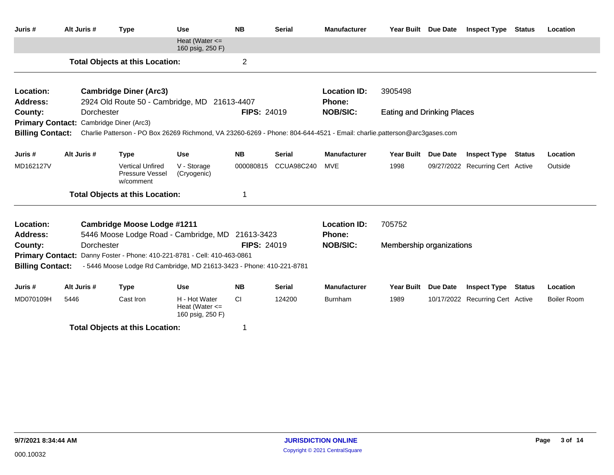| Juris #                                 | Alt Juris # |            | <b>Type</b>                                             | <b>Use</b>                                                                                                              | <b>NB</b>          | <b>Serial</b>     | <b>Manufacturer</b>                  | Year Built Due Date               |                 | <b>Inspect Type</b>              | <b>Status</b> | Location    |
|-----------------------------------------|-------------|------------|---------------------------------------------------------|-------------------------------------------------------------------------------------------------------------------------|--------------------|-------------------|--------------------------------------|-----------------------------------|-----------------|----------------------------------|---------------|-------------|
|                                         |             |            |                                                         | Heat (Water $\leq$<br>160 psig, 250 F)                                                                                  |                    |                   |                                      |                                   |                 |                                  |               |             |
|                                         |             |            | <b>Total Objects at this Location:</b>                  |                                                                                                                         | $\overline{2}$     |                   |                                      |                                   |                 |                                  |               |             |
| Location:                               |             |            | <b>Cambridge Diner (Arc3)</b>                           |                                                                                                                         |                    |                   | <b>Location ID:</b>                  | 3905498                           |                 |                                  |               |             |
| <b>Address:</b>                         |             |            | 2924 Old Route 50 - Cambridge, MD                       |                                                                                                                         | 21613-4407         |                   | <b>Phone:</b>                        |                                   |                 |                                  |               |             |
| County:                                 |             | Dorchester |                                                         |                                                                                                                         | <b>FIPS: 24019</b> |                   | <b>NOB/SIC:</b>                      | <b>Eating and Drinking Places</b> |                 |                                  |               |             |
| Primary Contact: Cambridge Diner (Arc3) |             |            |                                                         |                                                                                                                         |                    |                   |                                      |                                   |                 |                                  |               |             |
| <b>Billing Contact:</b>                 |             |            |                                                         | Charlie Patterson - PO Box 26269 Richmond, VA 23260-6269 - Phone: 804-644-4521 - Email: charlie.patterson@arc3gases.com |                    |                   |                                      |                                   |                 |                                  |               |             |
| Juris #                                 | Alt Juris # |            | <b>Type</b>                                             | <b>Use</b>                                                                                                              | <b>NB</b>          | <b>Serial</b>     | <b>Manufacturer</b>                  | Year Built Due Date               |                 | <b>Inspect Type</b>              | <b>Status</b> | Location    |
| MD162127V                               |             |            | <b>Vertical Unfired</b><br>Pressure Vessel<br>w/comment | V - Storage<br>(Cryogenic)                                                                                              | 000080815          | <b>CCUA98C240</b> | <b>MVE</b>                           | 1998                              |                 | 09/27/2022 Recurring Cert Active |               | Outside     |
|                                         |             |            | <b>Total Objects at this Location:</b>                  |                                                                                                                         | 1                  |                   |                                      |                                   |                 |                                  |               |             |
| Location:<br><b>Address:</b>            |             |            | <b>Cambridge Moose Lodge #1211</b>                      | 5446 Moose Lodge Road - Cambridge, MD                                                                                   | 21613-3423         |                   | <b>Location ID:</b><br><b>Phone:</b> | 705752                            |                 |                                  |               |             |
| County:                                 |             | Dorchester |                                                         |                                                                                                                         | FIPS: 24019        |                   | <b>NOB/SIC:</b>                      | Membership organizations          |                 |                                  |               |             |
| <b>Primary Contact:</b>                 |             |            |                                                         | Danny Foster - Phone: 410-221-8781 - Cell: 410-463-0861                                                                 |                    |                   |                                      |                                   |                 |                                  |               |             |
| <b>Billing Contact:</b>                 |             |            |                                                         | - 5446 Moose Lodge Rd Cambridge, MD 21613-3423 - Phone: 410-221-8781                                                    |                    |                   |                                      |                                   |                 |                                  |               |             |
| Juris #                                 | Alt Juris # |            | <b>Type</b>                                             | Use                                                                                                                     | <b>NB</b>          | <b>Serial</b>     | <b>Manufacturer</b>                  | <b>Year Built</b>                 | <b>Due Date</b> | <b>Inspect Type Status</b>       |               | Location    |
| MD070109H                               | 5446        |            | Cast Iron                                               | H - Hot Water<br>Heat (Water $\leq$<br>160 psig, 250 F)                                                                 | CI.                | 124200            | <b>Burnham</b>                       | 1989                              |                 | 10/17/2022 Recurring Cert Active |               | Boiler Room |
|                                         |             |            | <b>Total Objects at this Location:</b>                  |                                                                                                                         |                    |                   |                                      |                                   |                 |                                  |               |             |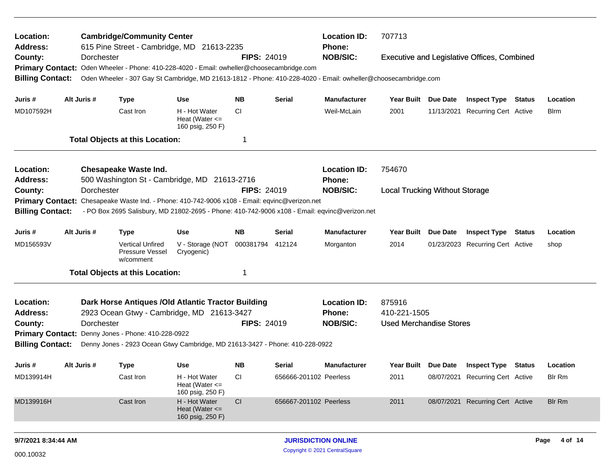| Location:<br><b>Address:</b> |             | <b>Cambridge/Community Center</b><br>615 Pine Street - Cambridge, MD 21613-2235                                |                                                         |                    |                        | <b>Location ID:</b><br><b>Phone:</b> | 707713                                |          |                                                    |        |              |
|------------------------------|-------------|----------------------------------------------------------------------------------------------------------------|---------------------------------------------------------|--------------------|------------------------|--------------------------------------|---------------------------------------|----------|----------------------------------------------------|--------|--------------|
| County:                      | Dorchester  |                                                                                                                |                                                         | <b>FIPS: 24019</b> |                        | <b>NOB/SIC:</b>                      |                                       |          | <b>Executive and Legislative Offices, Combined</b> |        |              |
| <b>Primary Contact:</b>      |             | Oden Wheeler - Phone: 410-228-4020 - Email: owheller@choosecambridge.com                                       |                                                         |                    |                        |                                      |                                       |          |                                                    |        |              |
| <b>Billing Contact:</b>      |             | Oden Wheeler - 307 Gay St Cambridge, MD 21613-1812 - Phone: 410-228-4020 - Email: owheller@choosecambridge.com |                                                         |                    |                        |                                      |                                       |          |                                                    |        |              |
| Juris #                      | Alt Juris # | <b>Type</b>                                                                                                    | <b>Use</b>                                              | <b>NB</b>          | Serial                 | <b>Manufacturer</b>                  | Year Built Due Date                   |          | <b>Inspect Type Status</b>                         |        | Location     |
| MD107592H                    |             | Cast Iron                                                                                                      | H - Hot Water<br>Heat (Water $\leq$<br>160 psig, 250 F) | CI                 |                        | Weil-McLain                          | 2001                                  |          | 11/13/2021 Recurring Cert Active                   |        | <b>B</b> lrm |
|                              |             | <b>Total Objects at this Location:</b>                                                                         |                                                         | -1                 |                        |                                      |                                       |          |                                                    |        |              |
| Location:                    |             | <b>Chesapeake Waste Ind.</b>                                                                                   |                                                         |                    |                        | <b>Location ID:</b>                  | 754670                                |          |                                                    |        |              |
| Address:                     |             | 500 Washington St - Cambridge, MD 21613-2716                                                                   |                                                         |                    |                        | Phone:                               |                                       |          |                                                    |        |              |
| County:                      | Dorchester  |                                                                                                                |                                                         | <b>FIPS: 24019</b> |                        | <b>NOB/SIC:</b>                      | <b>Local Trucking Without Storage</b> |          |                                                    |        |              |
| <b>Primary Contact:</b>      |             | Chesapeake Waste Ind. - Phone: 410-742-9006 x108 - Email: eqvinc@verizon.net                                   |                                                         |                    |                        |                                      |                                       |          |                                                    |        |              |
| <b>Billing Contact:</b>      |             | - PO Box 2695 Salisbury, MD 21802-2695 - Phone: 410-742-9006 x108 - Email: eqvinc@verizon.net                  |                                                         |                    |                        |                                      |                                       |          |                                                    |        |              |
| Juris #                      | Alt Juris # | <b>Type</b>                                                                                                    | <b>Use</b>                                              | <b>NB</b>          | <b>Serial</b>          | <b>Manufacturer</b>                  | <b>Year Built</b>                     | Due Date | <b>Inspect Type</b>                                | Status | Location     |
| MD156593V                    |             | <b>Vertical Unfired</b><br>Pressure Vessel<br>w/comment                                                        | V - Storage (NOT<br>Cryogenic)                          | 000381794          | 412124                 | Morganton                            | 2014                                  |          | 01/23/2023 Recurring Cert Active                   |        | shop         |
|                              |             | <b>Total Objects at this Location:</b>                                                                         |                                                         | -1                 |                        |                                      |                                       |          |                                                    |        |              |
| Location:                    |             | Dark Horse Antiques / Old Atlantic Tractor Building                                                            |                                                         |                    |                        | <b>Location ID:</b>                  | 875916                                |          |                                                    |        |              |
| <b>Address:</b>              |             | 2923 Ocean Gtwy - Cambridge, MD 21613-3427                                                                     |                                                         |                    |                        | Phone:                               | 410-221-1505                          |          |                                                    |        |              |
| County:                      | Dorchester  |                                                                                                                |                                                         | <b>FIPS: 24019</b> |                        | <b>NOB/SIC:</b>                      | <b>Used Merchandise Stores</b>        |          |                                                    |        |              |
| <b>Primary Contact:</b>      |             | Denny Jones - Phone: 410-228-0922                                                                              |                                                         |                    |                        |                                      |                                       |          |                                                    |        |              |
| <b>Billing Contact:</b>      |             | Denny Jones - 2923 Ocean Gtwy Cambridge, MD 21613-3427 - Phone: 410-228-0922                                   |                                                         |                    |                        |                                      |                                       |          |                                                    |        |              |
| Juris #                      | Alt Juris # | <b>Type</b>                                                                                                    | Use                                                     | <b>NB</b>          | <b>Serial</b>          | <b>Manufacturer</b>                  | Year Built                            | Due Date | <b>Inspect Type Status</b>                         |        | Location     |
| MD139914H                    |             | Cast Iron                                                                                                      | H - Hot Water<br>Heat (Water $\leq$<br>160 psig, 250 F) | CI                 | 656666-201102 Peerless |                                      | 2011                                  |          | 08/07/2021 Recurring Cert Active                   |        | Blr Rm       |
| MD139916H                    |             | Cast Iron                                                                                                      | H - Hot Water<br>Heat (Water $\leq$<br>160 psig, 250 F) | CI                 | 656667-201102 Peerless |                                      | 2011                                  |          | 08/07/2021 Recurring Cert Active                   |        | Blr Rm       |
|                              |             |                                                                                                                |                                                         |                    |                        |                                      |                                       |          |                                                    |        |              |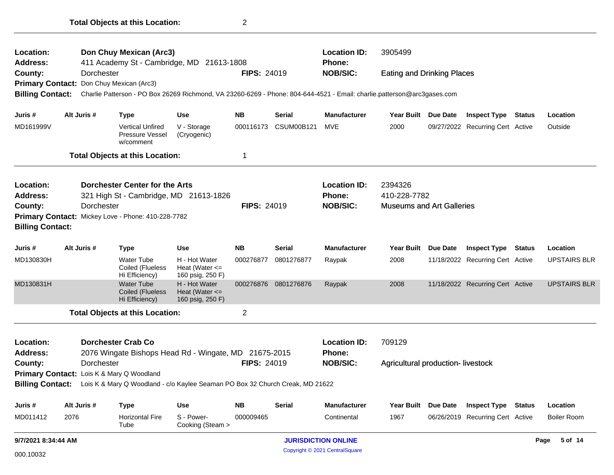| Location:               |      |             | Don Chuy Mexican (Arc3)                                 |                                                                                                                         |                    |                      | <b>Location ID:</b>                  | 3905499                           |                 |                                  |                     |
|-------------------------|------|-------------|---------------------------------------------------------|-------------------------------------------------------------------------------------------------------------------------|--------------------|----------------------|--------------------------------------|-----------------------------------|-----------------|----------------------------------|---------------------|
| <b>Address:</b>         |      |             | 411 Academy St - Cambridge, MD                          | 21613-1808                                                                                                              |                    |                      | Phone:                               |                                   |                 |                                  |                     |
| County:                 |      | Dorchester  | Primary Contact: Don Chuy Mexican (Arc3)                |                                                                                                                         | <b>FIPS: 24019</b> |                      | <b>NOB/SIC:</b>                      | <b>Eating and Drinking Places</b> |                 |                                  |                     |
| <b>Billing Contact:</b> |      |             |                                                         | Charlie Patterson - PO Box 26269 Richmond, VA 23260-6269 - Phone: 804-644-4521 - Email: charlie.patterson@arc3gases.com |                    |                      |                                      |                                   |                 |                                  |                     |
|                         |      |             |                                                         |                                                                                                                         |                    |                      |                                      |                                   |                 |                                  |                     |
| Juris #                 |      | Alt Juris # | <b>Type</b>                                             | <b>Use</b>                                                                                                              | <b>NB</b>          | Serial               | Manufacturer                         | Year Built Due Date               |                 | <b>Inspect Type Status</b>       | Location            |
| MD161999V               |      |             | <b>Vertical Unfired</b><br>Pressure Vessel<br>w/comment | V - Storage<br>(Cryogenic)                                                                                              | 000116173          | <b>CSUM00B121</b>    | <b>MVE</b>                           | 2000                              |                 | 09/27/2022 Recurring Cert Active | Outside             |
|                         |      |             | <b>Total Objects at this Location:</b>                  |                                                                                                                         | 1                  |                      |                                      |                                   |                 |                                  |                     |
| Location:               |      |             | <b>Dorchester Center for the Arts</b>                   |                                                                                                                         |                    |                      | <b>Location ID:</b>                  | 2394326                           |                 |                                  |                     |
| <b>Address:</b>         |      |             |                                                         | 321 High St - Cambridge, MD 21613-1826                                                                                  |                    |                      | Phone:                               | 410-228-7782                      |                 |                                  |                     |
| County:                 |      | Dorchester  |                                                         |                                                                                                                         | <b>FIPS: 24019</b> |                      | <b>NOB/SIC:</b>                      | <b>Museums and Art Galleries</b>  |                 |                                  |                     |
|                         |      |             | Primary Contact: Mickey Love - Phone: 410-228-7782      |                                                                                                                         |                    |                      |                                      |                                   |                 |                                  |                     |
| <b>Billing Contact:</b> |      |             |                                                         |                                                                                                                         |                    |                      |                                      |                                   |                 |                                  |                     |
| Juris #                 |      | Alt Juris # | <b>Type</b>                                             | <b>Use</b>                                                                                                              | <b>NB</b>          | Serial               | <b>Manufacturer</b>                  | <b>Year Built</b>                 | <b>Due Date</b> | <b>Inspect Type Status</b>       | Location            |
| MD130830H               |      |             | <b>Water Tube</b><br>Coiled (Flueless<br>Hi Efficiency) | H - Hot Water<br>Heat (Water $\leq$<br>160 psig, 250 F)                                                                 | 000276877          | 0801276877           | Raypak                               | 2008                              |                 | 11/18/2022 Recurring Cert Active | <b>UPSTAIRS BLR</b> |
| MD130831H               |      |             | <b>Water Tube</b><br>Coiled (Flueless<br>Hi Efficiency) | H - Hot Water<br>Heat (Water $\leq$<br>160 psig, 250 F)                                                                 |                    | 000276876 0801276876 | Raypak                               | 2008                              |                 | 11/18/2022 Recurring Cert Active | <b>UPSTAIRS BLR</b> |
|                         |      |             | <b>Total Objects at this Location:</b>                  |                                                                                                                         | $\overline{2}$     |                      |                                      |                                   |                 |                                  |                     |
| Location:<br>Address:   |      |             | <b>Dorchester Crab Co</b>                               | 2076 Wingate Bishops Head Rd - Wingate, MD 21675-2015                                                                   |                    |                      | <b>Location ID:</b><br><b>Phone:</b> | 709129                            |                 |                                  |                     |
| County:                 |      | Dorchester  |                                                         |                                                                                                                         | <b>FIPS: 24019</b> |                      | <b>NOB/SIC:</b>                      | Agricultural production-livestock |                 |                                  |                     |
|                         |      |             | Primary Contact: Lois K & Mary Q Woodland               |                                                                                                                         |                    |                      |                                      |                                   |                 |                                  |                     |
|                         |      |             |                                                         | Billing Contact: Lois K & Mary Q Woodland - c/o Kaylee Seaman PO Box 32 Church Creak, MD 21622                          |                    |                      |                                      |                                   |                 |                                  |                     |
| Juris #                 |      | Alt Juris # | <b>Type</b>                                             | <b>Use</b>                                                                                                              | <b>NB</b>          | <b>Serial</b>        | <b>Manufacturer</b>                  | Year Built                        | <b>Due Date</b> | <b>Inspect Type Status</b>       | Location            |
| MD011412                | 2076 |             | <b>Horizontal Fire</b><br>Tube                          | S - Power-<br>Cooking (Steam >                                                                                          | 000009465          |                      | Continental                          | 1967                              |                 | 06/26/2019 Recurring Cert Active | <b>Boiler Room</b>  |
| 9/7/2021 8:34:44 AM     |      |             |                                                         |                                                                                                                         |                    |                      | <b>JURISDICTION ONLINE</b>           |                                   |                 |                                  | Page 5 of 14        |

**Total Objects at this Location:** 2

Copyright © 2021 CentralSquare 000.10032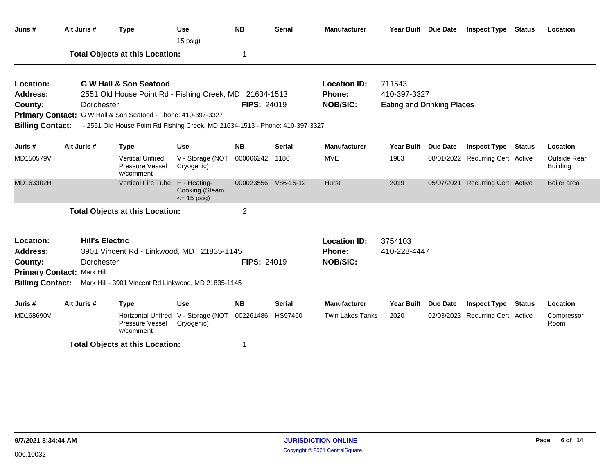| Juris #                 | Alt Juris #                | <b>Type</b>                                                                  | <b>Use</b><br>15 psig)                            | <b>NB</b>           | <b>Serial</b> | <b>Manufacturer</b>     | Year Built Due Date               |                 | <b>Inspect Type Status</b>       |        | Location                               |
|-------------------------|----------------------------|------------------------------------------------------------------------------|---------------------------------------------------|---------------------|---------------|-------------------------|-----------------------------------|-----------------|----------------------------------|--------|----------------------------------------|
|                         |                            | <b>Total Objects at this Location:</b>                                       |                                                   | 1                   |               |                         |                                   |                 |                                  |        |                                        |
| Location:               |                            | <b>G W Hall &amp; Son Seafood</b>                                            |                                                   |                     |               | <b>Location ID:</b>     | 711543                            |                 |                                  |        |                                        |
| <b>Address:</b>         |                            | 2551 Old House Point Rd - Fishing Creek, MD 21634-1513                       |                                                   |                     |               | <b>Phone:</b>           | 410-397-3327                      |                 |                                  |        |                                        |
| County:                 | Dorchester                 |                                                                              |                                                   | <b>FIPS: 24019</b>  |               | <b>NOB/SIC:</b>         | <b>Eating and Drinking Places</b> |                 |                                  |        |                                        |
|                         |                            | Primary Contact: G W Hall & Son Seafood - Phone: 410-397-3327                |                                                   |                     |               |                         |                                   |                 |                                  |        |                                        |
| <b>Billing Contact:</b> |                            | - 2551 Old House Point Rd Fishing Creek, MD 21634-1513 - Phone: 410-397-3327 |                                                   |                     |               |                         |                                   |                 |                                  |        |                                        |
| Juris #                 | Alt Juris #                | <b>Type</b>                                                                  | <b>Use</b>                                        | <b>NB</b>           | <b>Serial</b> | <b>Manufacturer</b>     | <b>Year Built</b>                 | <b>Due Date</b> | <b>Inspect Type Status</b>       |        | Location                               |
| MD150579V               |                            | <b>Vertical Unfired</b><br>Pressure Vessel<br>w/comment                      | V - Storage (NOT<br>Cryogenic)                    | 000006242           | 1186          | <b>MVE</b>              | 1983                              |                 | 08/01/2022 Recurring Cert Active |        | <b>Outside Rear</b><br><b>Building</b> |
| MD163302H               |                            | <b>Vertical Fire Tube</b>                                                    | H - Heating-<br>Cooking (Steam<br>$\le$ 15 psig)  | 000023556 V86-15-12 |               | <b>Hurst</b>            | 2019                              |                 | 05/07/2021 Recurring Cert Active |        | Boiler area                            |
|                         |                            | <b>Total Objects at this Location:</b>                                       |                                                   | $\overline{c}$      |               |                         |                                   |                 |                                  |        |                                        |
| Location:               | <b>Hill's Electric</b>     |                                                                              |                                                   |                     |               | <b>Location ID:</b>     | 3754103                           |                 |                                  |        |                                        |
| <b>Address:</b>         |                            | 3901 Vincent Rd - Linkwood, MD 21835-1145                                    |                                                   |                     |               | <b>Phone:</b>           | 410-228-4447                      |                 |                                  |        |                                        |
| County:                 | Dorchester                 |                                                                              |                                                   | <b>FIPS: 24019</b>  |               | <b>NOB/SIC:</b>         |                                   |                 |                                  |        |                                        |
|                         | Primary Contact: Mark Hill |                                                                              |                                                   |                     |               |                         |                                   |                 |                                  |        |                                        |
| <b>Billing Contact:</b> |                            | Mark Hill - 3901 Vincent Rd Linkwood, MD 21835-1145                          |                                                   |                     |               |                         |                                   |                 |                                  |        |                                        |
| Juris #                 | Alt Juris #                | <b>Type</b>                                                                  | <b>Use</b>                                        | <b>NB</b>           | Serial        | <b>Manufacturer</b>     | Year Built Due Date               |                 | <b>Inspect Type</b>              | Status | Location                               |
| MD168690V               |                            | Pressure Vessel<br>w/comment                                                 | Horizontal Unfired V - Storage (NOT<br>Cryogenic) | 002261486           | HS97460       | <b>Twin Lakes Tanks</b> | 2020                              |                 | 02/03/2023 Recurring Cert Active |        | Compressor<br>Room                     |
|                         |                            | <b>Total Objects at this Location:</b>                                       |                                                   | 1                   |               |                         |                                   |                 |                                  |        |                                        |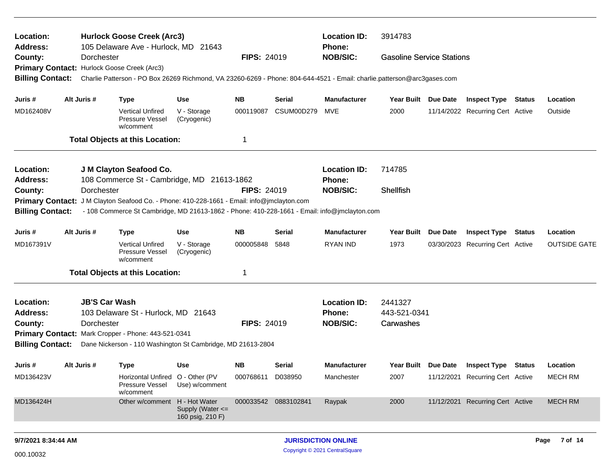| Location:<br><b>Address:</b> |                      | <b>Hurlock Goose Creek (Arc3)</b><br>105 Delaware Ave - Hurlock, MD 21643                                               |                                                           |                    |                      | <b>Location ID:</b><br>Phone: | 3914783                          |          |                                  |                     |
|------------------------------|----------------------|-------------------------------------------------------------------------------------------------------------------------|-----------------------------------------------------------|--------------------|----------------------|-------------------------------|----------------------------------|----------|----------------------------------|---------------------|
| County:                      | Dorchester           |                                                                                                                         |                                                           | <b>FIPS: 24019</b> |                      | <b>NOB/SIC:</b>               | <b>Gasoline Service Stations</b> |          |                                  |                     |
|                              |                      | Primary Contact: Hurlock Goose Creek (Arc3)                                                                             |                                                           |                    |                      |                               |                                  |          |                                  |                     |
| <b>Billing Contact:</b>      |                      | Charlie Patterson - PO Box 26269 Richmond, VA 23260-6269 - Phone: 804-644-4521 - Email: charlie.patterson@arc3gases.com |                                                           |                    |                      |                               |                                  |          |                                  |                     |
| Juris #                      | Alt Juris #          | <b>Type</b>                                                                                                             | <b>Use</b>                                                | <b>NB</b>          | <b>Serial</b>        | <b>Manufacturer</b>           | Year Built Due Date              |          | <b>Inspect Type Status</b>       | Location            |
| MD162408V                    |                      | <b>Vertical Unfired</b><br>Pressure Vessel<br>w/comment                                                                 | V - Storage<br>(Cryogenic)                                | 000119087          | CSUM00D279           | MVE                           | 2000                             |          | 11/14/2022 Recurring Cert Active | Outside             |
|                              |                      | <b>Total Objects at this Location:</b>                                                                                  |                                                           | 1                  |                      |                               |                                  |          |                                  |                     |
| <b>Location:</b>             |                      | J M Clayton Seafood Co.                                                                                                 |                                                           |                    |                      | <b>Location ID:</b>           | 714785                           |          |                                  |                     |
| <b>Address:</b>              |                      | 108 Commerce St - Cambridge, MD 21613-1862                                                                              |                                                           |                    |                      | <b>Phone:</b>                 |                                  |          |                                  |                     |
| County:                      | Dorchester           |                                                                                                                         |                                                           | FIPS: 24019        |                      | <b>NOB/SIC:</b>               | Shellfish                        |          |                                  |                     |
|                              |                      | Primary Contact: J M Clayton Seafood Co. - Phone: 410-228-1661 - Email: info@jmclayton.com                              |                                                           |                    |                      |                               |                                  |          |                                  |                     |
| <b>Billing Contact:</b>      |                      | -108 Commerce St Cambridge, MD 21613-1862 - Phone: 410-228-1661 - Email: info@jmclayton.com                             |                                                           |                    |                      |                               |                                  |          |                                  |                     |
| Juris #                      | Alt Juris #          | Type                                                                                                                    | <b>Use</b>                                                | <b>NB</b>          | <b>Serial</b>        | <b>Manufacturer</b>           | <b>Year Built</b>                | Due Date | <b>Inspect Type Status</b>       | Location            |
| MD167391V                    |                      | <b>Vertical Unfired</b><br>Pressure Vessel<br>w/comment                                                                 | V - Storage<br>(Cryogenic)                                | 000005848          | 5848                 | <b>RYAN IND</b>               | 1973                             |          | 03/30/2023 Recurring Cert Active | <b>OUTSIDE GATE</b> |
|                              |                      | <b>Total Objects at this Location:</b>                                                                                  |                                                           | 1                  |                      |                               |                                  |          |                                  |                     |
| Location:                    | <b>JB'S Car Wash</b> |                                                                                                                         |                                                           |                    |                      | <b>Location ID:</b>           | 2441327                          |          |                                  |                     |
| <b>Address:</b>              |                      | 103 Delaware St - Hurlock, MD 21643                                                                                     |                                                           |                    |                      | <b>Phone:</b>                 | 443-521-0341                     |          |                                  |                     |
| County:                      | Dorchester           |                                                                                                                         |                                                           | <b>FIPS: 24019</b> |                      | <b>NOB/SIC:</b>               | Carwashes                        |          |                                  |                     |
|                              |                      | Primary Contact: Mark Cropper - Phone: 443-521-0341                                                                     |                                                           |                    |                      |                               |                                  |          |                                  |                     |
| <b>Billing Contact:</b>      |                      | Dane Nickerson - 110 Washington St Cambridge, MD 21613-2804                                                             |                                                           |                    |                      |                               |                                  |          |                                  |                     |
| Juris #                      | Alt Juris #          | Type                                                                                                                    | Use                                                       | <b>NB</b>          | <b>Serial</b>        | <b>Manufacturer</b>           | <b>Year Built</b>                | Due Date | <b>Inspect Type Status</b>       | Location            |
| MD136423V                    |                      | Horizontal Unfired O - Other (PV<br>Pressure Vessel<br>w/comment                                                        | Use) w/comment                                            | 000768611          | D038950              | Manchester                    | 2007                             |          | 11/12/2021 Recurring Cert Active | <b>MECH RM</b>      |
| MD136424H                    |                      | Other w/comment                                                                                                         | H - Hot Water<br>Supply (Water $\leq$<br>160 psig, 210 F) |                    | 000033542 0883102841 | Raypak                        | 2000                             |          | 11/12/2021 Recurring Cert Active | <b>MECH RM</b>      |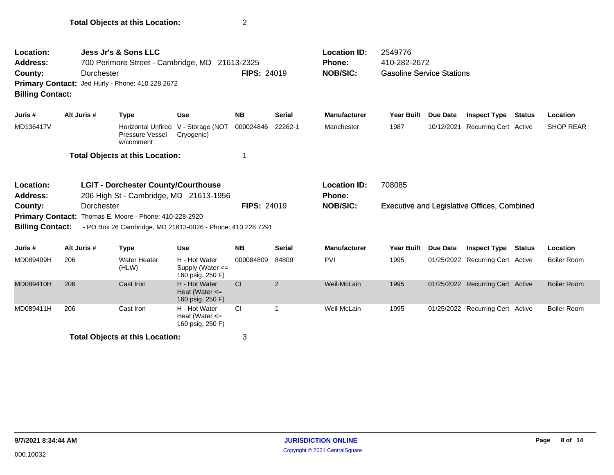| Location:<br><b>Address:</b><br>County:<br><b>Billing Contact:</b> |     | Dorchester  | <b>Jess Jr's &amp; Sons LLC</b><br>700 Perimore Street - Cambridge, MD<br>Primary Contact: Jed Hurly - Phone: 410 228 2672 |                                                         | 21613-2325<br><b>FIPS: 24019</b> |                | <b>Location ID:</b><br><b>Phone:</b><br><b>NOB/SIC:</b> | 2549776<br>410-282-2672<br><b>Gasoline Service Stations</b> |            |                                                    |        |                    |
|--------------------------------------------------------------------|-----|-------------|----------------------------------------------------------------------------------------------------------------------------|---------------------------------------------------------|----------------------------------|----------------|---------------------------------------------------------|-------------------------------------------------------------|------------|----------------------------------------------------|--------|--------------------|
| Juris #                                                            |     | Alt Juris # | <b>Type</b>                                                                                                                | <b>Use</b>                                              | <b>NB</b>                        | <b>Serial</b>  | <b>Manufacturer</b>                                     | <b>Year Built</b>                                           | Due Date   | <b>Inspect Type</b>                                | Status | Location           |
| MD136417V                                                          |     |             | <b>Horizontal Unfired</b><br>Pressure Vessel<br>w/comment                                                                  | V - Storage (NOT<br>Cryogenic)                          | 000024846                        | 22262-1        | Manchester                                              | 1987                                                        | 10/12/2021 | Recurring Cert Active                              |        | <b>SHOP REAR</b>   |
|                                                                    |     |             | <b>Total Objects at this Location:</b>                                                                                     |                                                         | 1                                |                |                                                         |                                                             |            |                                                    |        |                    |
| Location:<br><b>Address:</b>                                       |     |             | <b>LGIT - Dorchester County/Courthouse</b><br>206 High St - Cambridge, MD 21613-1956                                       |                                                         |                                  |                | <b>Location ID:</b><br><b>Phone:</b>                    | 708085                                                      |            |                                                    |        |                    |
| County:                                                            |     | Dorchester  | Primary Contact: Thomas E. Moore - Phone: 410-228-2920                                                                     |                                                         | <b>FIPS: 24019</b>               |                | <b>NOB/SIC:</b>                                         |                                                             |            | <b>Executive and Legislative Offices, Combined</b> |        |                    |
| <b>Billing Contact:</b>                                            |     |             | - PO Box 26 Cambridge, MD 21613-0026 - Phone: 410 228 7291                                                                 |                                                         |                                  |                |                                                         |                                                             |            |                                                    |        |                    |
| Juris #                                                            |     | Alt Juris # | <b>Type</b>                                                                                                                | <b>Use</b>                                              | <b>NB</b>                        | <b>Serial</b>  | <b>Manufacturer</b>                                     | <b>Year Built</b>                                           | Due Date   | <b>Inspect Type</b>                                | Status | Location           |
| MD089409H                                                          | 206 |             | <b>Water Heater</b><br>(HLW)                                                                                               | H - Hot Water<br>Supply (Water <=<br>160 psig, 250 F)   | 000084809                        | 84809          | <b>PVI</b>                                              | 1995                                                        |            | 01/25/2022 Recurring Cert Active                   |        | <b>Boiler Room</b> |
| MD089410H                                                          | 206 |             | Cast Iron                                                                                                                  | H - Hot Water<br>Heat (Water $\leq$<br>160 psig, 250 F) | <b>CI</b>                        | $\overline{2}$ | Weil-McLain                                             | 1995                                                        |            | 01/25/2022 Recurring Cert Active                   |        | <b>Boiler Room</b> |
| MD089411H                                                          | 206 |             | Cast Iron                                                                                                                  | H - Hot Water<br>Heat (Water $\leq$<br>160 psig, 250 F) | <b>CI</b>                        | $\mathbf 1$    | Weil-McLain                                             | 1995                                                        |            | 01/25/2022 Recurring Cert Active                   |        | <b>Boiler Room</b> |
|                                                                    |     |             | <b>Total Objects at this Location:</b>                                                                                     |                                                         | 3                                |                |                                                         |                                                             |            |                                                    |        |                    |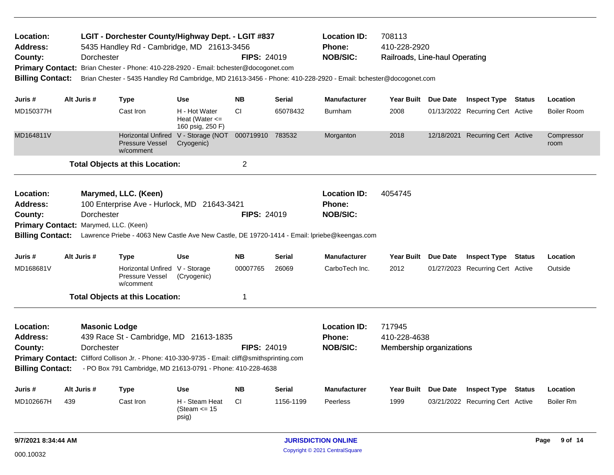| Location:<br><b>Address:</b><br>County:<br><b>Billing Contact:</b>               |     | Dorchester                         | LGIT - Dorchester County/Highway Dept. - LGIT #837<br>5435 Handley Rd - Cambridge, MD 21613-3456<br>Primary Contact: Brian Chester - Phone: 410-228-2920 - Email: bchester@docogonet.com                |                                                         | <b>FIPS: 24019</b> |               | <b>Location ID:</b><br>Phone:<br><b>NOB/SIC:</b><br>Brian Chester - 5435 Handley Rd Cambridge, MD 21613-3456 - Phone: 410-228-2920 - Email: bchester@docogonet.com       | 708113<br>410-228-2920<br>Railroads, Line-haul Operating |                                  |               |                    |
|----------------------------------------------------------------------------------|-----|------------------------------------|---------------------------------------------------------------------------------------------------------------------------------------------------------------------------------------------------------|---------------------------------------------------------|--------------------|---------------|--------------------------------------------------------------------------------------------------------------------------------------------------------------------------|----------------------------------------------------------|----------------------------------|---------------|--------------------|
| Juris #                                                                          |     | Alt Juris #                        | <b>Type</b>                                                                                                                                                                                             | Use                                                     | <b>NB</b>          | Serial        | <b>Manufacturer</b>                                                                                                                                                      | Year Built Due Date                                      | <b>Inspect Type Status</b>       |               | Location           |
| MD150377H                                                                        |     |                                    | Cast Iron                                                                                                                                                                                               | H - Hot Water<br>Heat (Water $\leq$<br>160 psig, 250 F) | CI                 | 65078432      | Burnham                                                                                                                                                                  | 2008                                                     | 01/13/2022 Recurring Cert Active |               | <b>Boiler Room</b> |
| MD164811V                                                                        |     |                                    | Horizontal Unfired<br><b>Pressure Vessel</b><br>w/comment                                                                                                                                               | V - Storage (NOT 000719910 783532<br>Cryogenic)         |                    |               | Morganton                                                                                                                                                                | 2018                                                     | 12/18/2021 Recurring Cert Active |               | Compressor<br>room |
|                                                                                  |     |                                    | <b>Total Objects at this Location:</b>                                                                                                                                                                  |                                                         | $\overline{c}$     |               |                                                                                                                                                                          |                                                          |                                  |               |                    |
| Location:<br><b>Address:</b><br>County:<br>Primary Contact: Marymed, LLC. (Keen) |     | Dorchester                         | Marymed, LLC. (Keen)<br>100 Enterprise Ave - Hurlock, MD 21643-3421                                                                                                                                     |                                                         | <b>FIPS: 24019</b> |               | <b>Location ID:</b><br><b>Phone:</b><br><b>NOB/SIC:</b><br>Billing Contact: Lawrence Priebe - 4063 New Castle Ave New Castle, DE 19720-1414 - Email: Ipriebe@keengas.com | 4054745                                                  |                                  |               |                    |
| Juris #                                                                          |     | Alt Juris #                        | <b>Type</b>                                                                                                                                                                                             | Use                                                     | <b>NB</b>          | <b>Serial</b> | <b>Manufacturer</b>                                                                                                                                                      | Year Built Due Date                                      | <b>Inspect Type Status</b>       |               | Location           |
| MD168681V                                                                        |     |                                    | Horizontal Unfired V - Storage<br>Pressure Vessel<br>w/comment                                                                                                                                          | (Cryogenic)                                             | 00007765           | 26069         | CarboTech Inc.                                                                                                                                                           | 2012                                                     | 01/27/2023 Recurring Cert Active |               | Outside            |
|                                                                                  |     |                                    | <b>Total Objects at this Location:</b>                                                                                                                                                                  |                                                         | 1                  |               |                                                                                                                                                                          |                                                          |                                  |               |                    |
| Location:<br><b>Address:</b><br>County:<br><b>Billing Contact:</b>               |     | <b>Masonic Lodge</b><br>Dorchester | 439 Race St - Cambridge, MD 21613-1835<br>Primary Contact: Clifford Collison Jr. - Phone: 410-330-9735 - Email: cliff@smithsprinting.com<br>- PO Box 791 Cambridge, MD 21613-0791 - Phone: 410-228-4638 |                                                         | <b>FIPS: 24019</b> |               | <b>Location ID:</b><br>Phone:<br><b>NOB/SIC:</b>                                                                                                                         | 717945<br>410-228-4638<br>Membership organizations       |                                  |               |                    |
| Juris #                                                                          |     | Alt Juris #                        | <b>Type</b>                                                                                                                                                                                             | Use                                                     | <b>NB</b>          | <b>Serial</b> | <b>Manufacturer</b>                                                                                                                                                      | Year Built Due Date                                      | <b>Inspect Type</b>              | <b>Status</b> | Location           |
| MD102667H                                                                        | 439 |                                    | Cast Iron                                                                                                                                                                                               | H - Steam Heat<br>(Steam $\le$ 15<br>psig)              | CI.                | 1156-1199     | Peerless                                                                                                                                                                 | 1999                                                     | 03/21/2022 Recurring Cert Active |               | <b>Boiler Rm</b>   |
| 9/7/2021 8:34:44 AM                                                              |     |                                    |                                                                                                                                                                                                         |                                                         |                    |               | <b>JURISDICTION ONLINE</b>                                                                                                                                               |                                                          |                                  |               | 9 of 14<br>Page    |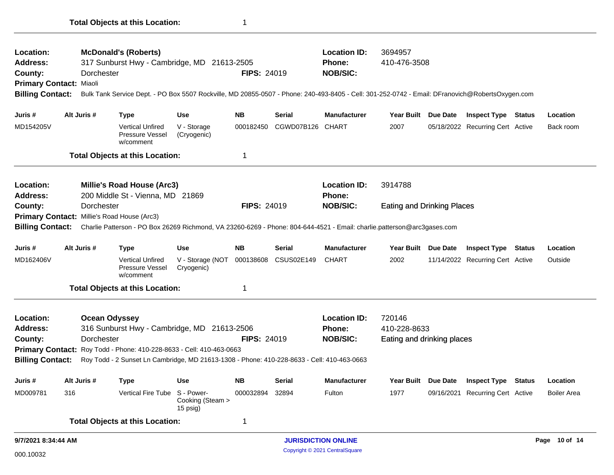| Location:                    |     |                      | <b>McDonald's (Roberts)</b>                                                                                                                     |                                |                    |            | <b>Location ID:</b>                  | 3694957                           |                                                  |                    |
|------------------------------|-----|----------------------|-------------------------------------------------------------------------------------------------------------------------------------------------|--------------------------------|--------------------|------------|--------------------------------------|-----------------------------------|--------------------------------------------------|--------------------|
| <b>Address:</b><br>County:   |     | Dorchester           | 317 Sunburst Hwy - Cambridge, MD 21613-2505                                                                                                     |                                | <b>FIPS: 24019</b> |            | Phone:<br><b>NOB/SIC:</b>            | 410-476-3508                      |                                                  |                    |
| Primary Contact: Miaoli      |     |                      |                                                                                                                                                 |                                |                    |            |                                      |                                   |                                                  |                    |
| <b>Billing Contact:</b>      |     |                      | Bulk Tank Service Dept. - PO Box 5507 Rockville, MD 20855-0507 - Phone: 240-493-8405 - Cell: 301-252-0742 - Email: DFranovich@RobertsOxygen.com |                                |                    |            |                                      |                                   |                                                  |                    |
|                              |     |                      |                                                                                                                                                 |                                |                    |            |                                      |                                   |                                                  |                    |
| Juris #                      |     | Alt Juris #          | <b>Type</b>                                                                                                                                     | <b>Use</b>                     | <b>NB</b>          | Serial     | <b>Manufacturer</b>                  | Year Built Due Date               | <b>Inspect Type Status</b>                       | Location           |
| MD154205V                    |     |                      | <b>Vertical Unfired</b><br>Pressure Vessel<br>w/comment                                                                                         | V - Storage<br>(Cryogenic)     | 000182450          | CGWD07B126 | CHART                                | 2007                              | 05/18/2022 Recurring Cert Active                 | Back room          |
|                              |     |                      | <b>Total Objects at this Location:</b>                                                                                                          |                                | 1                  |            |                                      |                                   |                                                  |                    |
| Location:<br><b>Address:</b> |     |                      | <b>Millie's Road House (Arc3)</b><br>200 Middle St - Vienna, MD 21869                                                                           |                                |                    |            | <b>Location ID:</b><br><b>Phone:</b> | 3914788                           |                                                  |                    |
| County:                      |     | Dorchester           |                                                                                                                                                 |                                | <b>FIPS: 24019</b> |            | <b>NOB/SIC:</b>                      | <b>Eating and Drinking Places</b> |                                                  |                    |
|                              |     |                      | Primary Contact: Millie's Road House (Arc3)                                                                                                     |                                |                    |            |                                      |                                   |                                                  |                    |
| <b>Billing Contact:</b>      |     |                      | Charlie Patterson - PO Box 26269 Richmond, VA 23260-6269 - Phone: 804-644-4521 - Email: charlie.patterson@arc3gases.com                         |                                |                    |            |                                      |                                   |                                                  |                    |
| Juris #                      |     | Alt Juris #          | <b>Type</b>                                                                                                                                     | Use                            | <b>NB</b>          | Serial     | <b>Manufacturer</b>                  | Year Built Due Date               | <b>Inspect Type Status</b>                       | Location           |
| MD162406V                    |     |                      | <b>Vertical Unfired</b><br>Pressure Vessel<br>w/comment                                                                                         | V - Storage (NOT<br>Cryogenic) | 000138608          | CSUS02E149 | <b>CHART</b>                         | 2002                              | 11/14/2022 Recurring Cert Active                 | Outside            |
|                              |     |                      | <b>Total Objects at this Location:</b>                                                                                                          |                                | 1                  |            |                                      |                                   |                                                  |                    |
| Location:                    |     | <b>Ocean Odyssey</b> |                                                                                                                                                 |                                |                    |            | <b>Location ID:</b>                  | 720146                            |                                                  |                    |
| Address:                     |     |                      | 316 Sunburst Hwy - Cambridge, MD 21613-2506                                                                                                     |                                |                    |            | <b>Phone:</b>                        | 410-228-8633                      |                                                  |                    |
| County:                      |     | Dorchester           |                                                                                                                                                 |                                | <b>FIPS: 24019</b> |            | <b>NOB/SIC:</b>                      | Eating and drinking places        |                                                  |                    |
|                              |     |                      | Primary Contact: Roy Todd - Phone: 410-228-8633 - Cell: 410-463-0663                                                                            |                                |                    |            |                                      |                                   |                                                  |                    |
| <b>Billing Contact:</b>      |     |                      | Roy Todd - 2 Sunset Ln Cambridge, MD 21613-1308 - Phone: 410-228-8633 - Cell: 410-463-0663                                                      |                                |                    |            |                                      |                                   |                                                  |                    |
| Juris #                      |     | Alt Juris #          | <b>Type</b>                                                                                                                                     | Use                            | <b>NB</b>          | Serial     | Manufacturer                         |                                   | Year Built Due Date Inspect Type Status Location |                    |
| MD009781                     | 316 |                      | Vertical Fire Tube S - Power-                                                                                                                   | Cooking (Steam ><br>15 psig)   | 000032894 32894    |            | Fulton                               | 1977                              | 09/16/2021 Recurring Cert Active                 | <b>Boiler Area</b> |
|                              |     |                      | <b>Total Objects at this Location:</b>                                                                                                          |                                | 1                  |            |                                      |                                   |                                                  |                    |
| 9/7/2021 8:34:44 AM          |     |                      |                                                                                                                                                 |                                |                    |            | <b>JURISDICTION ONLINE</b>           |                                   |                                                  | Page 10 of 14      |

**Total Objects at this Location:** 1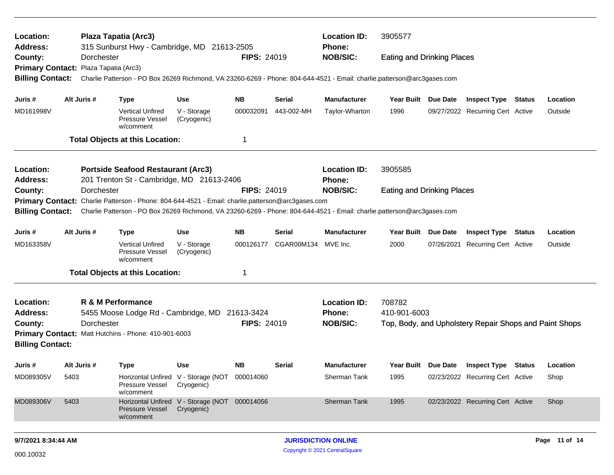| Location:<br><b>Address:</b>            |      |                      | Plaza Tapatia (Arc3)<br>315 Sunburst Hwy - Cambridge, MD 21613-2505                                                     |                                                             |                                  |                      | <b>Location ID:</b><br>Phone:                           | 3905577                           |                 |                                                        |        |          |
|-----------------------------------------|------|----------------------|-------------------------------------------------------------------------------------------------------------------------|-------------------------------------------------------------|----------------------------------|----------------------|---------------------------------------------------------|-----------------------------------|-----------------|--------------------------------------------------------|--------|----------|
| County:                                 |      | Dorchester           |                                                                                                                         |                                                             | <b>FIPS: 24019</b>               |                      | <b>NOB/SIC:</b>                                         | <b>Eating and Drinking Places</b> |                 |                                                        |        |          |
| <b>Primary Contact:</b>                 |      | Plaza Tapatia (Arc3) |                                                                                                                         |                                                             |                                  |                      |                                                         |                                   |                 |                                                        |        |          |
| <b>Billing Contact:</b>                 |      |                      | Charlie Patterson - PO Box 26269 Richmond, VA 23260-6269 - Phone: 804-644-4521 - Email: charlie.patterson@arc3gases.com |                                                             |                                  |                      |                                                         |                                   |                 |                                                        |        |          |
| Juris #                                 |      | Alt Juris #          | <b>Type</b>                                                                                                             | <b>Use</b>                                                  | <b>NB</b>                        | <b>Serial</b>        | <b>Manufacturer</b>                                     | Year Built Due Date               |                 | <b>Inspect Type Status</b>                             |        | Location |
| MD161998V                               |      |                      | <b>Vertical Unfired</b><br>Pressure Vessel<br>w/comment                                                                 | V - Storage<br>(Cryogenic)                                  | 000032091                        | 443-002-MH           | Taylor-Wharton                                          | 1996                              |                 | 09/27/2022 Recurring Cert Active                       |        | Outside  |
|                                         |      |                      | <b>Total Objects at this Location:</b>                                                                                  |                                                             | $\mathbf 1$                      |                      |                                                         |                                   |                 |                                                        |        |          |
| <b>Location:</b>                        |      |                      | <b>Portside Seafood Restaurant (Arc3)</b>                                                                               |                                                             |                                  |                      | <b>Location ID:</b>                                     | 3905585                           |                 |                                                        |        |          |
| <b>Address:</b>                         |      |                      | 201 Trenton St - Cambridge, MD 21613-2406                                                                               |                                                             |                                  |                      | <b>Phone:</b>                                           |                                   |                 |                                                        |        |          |
| County:                                 |      | Dorchester           |                                                                                                                         |                                                             | <b>FIPS: 24019</b>               |                      | <b>NOB/SIC:</b>                                         | <b>Eating and Drinking Places</b> |                 |                                                        |        |          |
|                                         |      |                      | Primary Contact: Charlie Patterson - Phone: 804-644-4521 - Email: charlie.patterson@arc3gases.com                       |                                                             |                                  |                      |                                                         |                                   |                 |                                                        |        |          |
| <b>Billing Contact:</b>                 |      |                      | Charlie Patterson - PO Box 26269 Richmond, VA 23260-6269 - Phone: 804-644-4521 - Email: charlie.patterson@arc3gases.com |                                                             |                                  |                      |                                                         |                                   |                 |                                                        |        |          |
| Juris #                                 |      | Alt Juris #          | Type                                                                                                                    | <b>Use</b>                                                  | <b>NB</b>                        | <b>Serial</b>        | <b>Manufacturer</b>                                     | Year Built Due Date               |                 | <b>Inspect Type Status</b>                             |        | Location |
| MD163358V                               |      |                      | <b>Vertical Unfired</b><br><b>Pressure Vessel</b><br>w/comment                                                          | V - Storage<br>(Cryogenic)                                  |                                  | 000126177 CGAR00M134 | MVE Inc.                                                | 2000                              |                 | 07/26/2021 Recurring Cert Active                       |        | Outside  |
|                                         |      |                      | <b>Total Objects at this Location:</b>                                                                                  |                                                             | $\mathbf 1$                      |                      |                                                         |                                   |                 |                                                        |        |          |
| Location:<br><b>Address:</b><br>County: |      | Dorchester           | R & M Performance<br>5455 Moose Lodge Rd - Cambridge, MD                                                                |                                                             | 21613-3424<br><b>FIPS: 24019</b> |                      | <b>Location ID:</b><br><b>Phone:</b><br><b>NOB/SIC:</b> | 708782<br>410-901-6003            |                 | Top, Body, and Upholstery Repair Shops and Paint Shops |        |          |
| <b>Billing Contact:</b>                 |      |                      | Primary Contact: Matt Hutchins - Phone: 410-901-6003                                                                    |                                                             |                                  |                      |                                                         |                                   |                 |                                                        |        |          |
| Juris #                                 |      | Alt Juris #          | <b>Type</b>                                                                                                             | <b>Use</b>                                                  | <b>NB</b>                        | <b>Serial</b>        | <b>Manufacturer</b>                                     | <b>Year Built</b>                 | <b>Due Date</b> | <b>Inspect Type</b>                                    | Status | Location |
| MD089305V                               | 5403 |                      | Pressure Vessel<br>w/comment                                                                                            | Horizontal Unfired V - Storage (NOT<br>Cryogenic)           | 000014060                        |                      | Sherman Tank                                            | 1995                              |                 | 02/23/2022 Recurring Cert Active                       |        | Shop     |
| MD089306V                               | 5403 |                      | <b>Pressure Vessel</b><br>w/comment                                                                                     | Horizontal Unfired V - Storage (NOT 000014056<br>Cryogenic) |                                  |                      | <b>Sherman Tank</b>                                     | 1995                              |                 | 02/23/2022 Recurring Cert Active                       |        | Shop     |
|                                         |      |                      |                                                                                                                         |                                                             |                                  |                      |                                                         |                                   |                 |                                                        |        |          |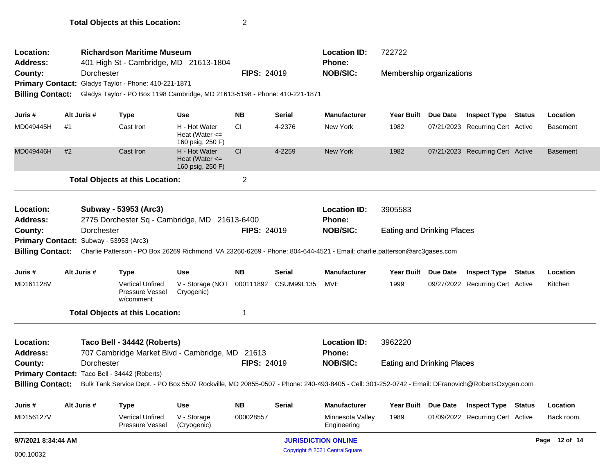| Location:<br>Address:                                           |             |             | <b>Richardson Maritime Museum</b>                       | 401 High St - Cambridge, MD 21613-1804                                                                                                                           |                    |                      | <b>Location ID:</b><br><b>Phone:</b> | 722722                            |          |                                  |        |                 |
|-----------------------------------------------------------------|-------------|-------------|---------------------------------------------------------|------------------------------------------------------------------------------------------------------------------------------------------------------------------|--------------------|----------------------|--------------------------------------|-----------------------------------|----------|----------------------------------|--------|-----------------|
| County:                                                         |             | Dorchester  |                                                         |                                                                                                                                                                  | <b>FIPS: 24019</b> |                      | <b>NOB/SIC:</b>                      | Membership organizations          |          |                                  |        |                 |
|                                                                 |             |             | Primary Contact: Gladys Taylor - Phone: 410-221-1871    |                                                                                                                                                                  |                    |                      |                                      |                                   |          |                                  |        |                 |
| <b>Billing Contact:</b>                                         |             |             |                                                         | Gladys Taylor - PO Box 1198 Cambridge, MD 21613-5198 - Phone: 410-221-1871                                                                                       |                    |                      |                                      |                                   |          |                                  |        |                 |
| Juris #                                                         |             | Alt Juris # | <b>Type</b>                                             | <b>Use</b>                                                                                                                                                       | <b>NB</b>          | Serial               | <b>Manufacturer</b>                  | <b>Year Built</b>                 | Due Date | <b>Inspect Type</b>              | Status | Location        |
| MD049445H                                                       | #1          |             | Cast Iron                                               | H - Hot Water<br>Heat (Water $\leq$<br>160 psig, 250 F)                                                                                                          | CI                 | 4-2376               | New York                             | 1982                              |          | 07/21/2023 Recurring Cert Active |        | <b>Basement</b> |
| MD049446H                                                       | #2          |             | Cast Iron                                               | H - Hot Water<br>Heat (Water $\leq$<br>160 psig, 250 F)                                                                                                          | CI                 | 4-2259               | New York                             | 1982                              |          | 07/21/2023 Recurring Cert Active |        | <b>Basement</b> |
|                                                                 |             |             | <b>Total Objects at this Location:</b>                  |                                                                                                                                                                  | 2                  |                      |                                      |                                   |          |                                  |        |                 |
| Location:                                                       |             |             | Subway - 53953 (Arc3)                                   |                                                                                                                                                                  |                    |                      | <b>Location ID:</b>                  | 3905583                           |          |                                  |        |                 |
| <b>Address:</b><br>County:                                      |             | Dorchester  |                                                         | 2775 Dorchester Sq - Cambridge, MD 21613-6400                                                                                                                    | <b>FIPS: 24019</b> |                      | Phone:                               |                                   |          |                                  |        |                 |
|                                                                 |             |             | Primary Contact: Subway - 53953 (Arc3)                  |                                                                                                                                                                  |                    |                      | <b>NOB/SIC:</b>                      | <b>Eating and Drinking Places</b> |          |                                  |        |                 |
|                                                                 |             |             |                                                         | Billing Contact: Charlie Patterson - PO Box 26269 Richmond, VA 23260-6269 - Phone: 804-644-4521 - Email: charlie.patterson@arc3gases.com                         |                    |                      |                                      |                                   |          |                                  |        |                 |
|                                                                 |             |             |                                                         |                                                                                                                                                                  |                    |                      |                                      |                                   |          |                                  |        |                 |
| Juris #                                                         | Alt Juris # |             | <b>Type</b>                                             | <b>Use</b>                                                                                                                                                       | <b>NB</b>          | Serial               | <b>Manufacturer</b>                  | Year Built Due Date               |          |                                  |        | Location        |
|                                                                 |             |             |                                                         |                                                                                                                                                                  |                    |                      |                                      |                                   |          | <b>Inspect Type Status</b>       |        |                 |
|                                                                 |             |             | <b>Vertical Unfired</b><br>Pressure Vessel<br>w/comment | V - Storage (NOT<br>Cryogenic)                                                                                                                                   |                    | 000111892 CSUM99L135 | MVE                                  | 1999                              |          | 09/27/2022 Recurring Cert Active |        | Kitchen         |
|                                                                 |             |             | <b>Total Objects at this Location:</b>                  |                                                                                                                                                                  | 1                  |                      |                                      |                                   |          |                                  |        |                 |
|                                                                 |             |             | Taco Bell - 34442 (Roberts)                             |                                                                                                                                                                  |                    |                      | <b>Location ID:</b>                  | 3962220                           |          |                                  |        |                 |
|                                                                 |             |             |                                                         | 707 Cambridge Market Blvd - Cambridge, MD                                                                                                                        | 21613              |                      | Phone:                               |                                   |          |                                  |        |                 |
|                                                                 |             | Dorchester  |                                                         |                                                                                                                                                                  | FIPS: 24019        |                      | <b>NOB/SIC:</b>                      | <b>Eating and Drinking Places</b> |          |                                  |        |                 |
|                                                                 |             |             | Primary Contact: Taco Bell - 34442 (Roberts)            | Billing Contact: Bulk Tank Service Dept. - PO Box 5507 Rockville, MD 20855-0507 - Phone: 240-493-8405 - Cell: 301-252-0742 - Email: DFranovich@RobertsOxygen.com |                    |                      |                                      |                                   |          |                                  |        |                 |
| MD161128V<br>Location:<br><b>Address:</b><br>County:<br>Juris # |             | Alt Juris # | Type                                                    | Use                                                                                                                                                              | <b>NB</b>          | Serial               | <b>Manufacturer</b>                  | Year Built Due Date               |          | <b>Inspect Type Status</b>       |        | Location        |
|                                                                 |             |             | Vertical Unfired<br>Pressure Vessel                     | V - Storage<br>(Cryogenic)                                                                                                                                       | 000028557          |                      | Minnesota Valley<br>Engineering      | 1989                              |          | 01/09/2022 Recurring Cert Active |        | Back room.      |
| MD156127V<br>9/7/2021 8:34:44 AM                                |             |             |                                                         |                                                                                                                                                                  |                    |                      | <b>JURISDICTION ONLINE</b>           |                                   |          |                                  |        | Page 12 of 14   |

**Total Objects at this Location:** 2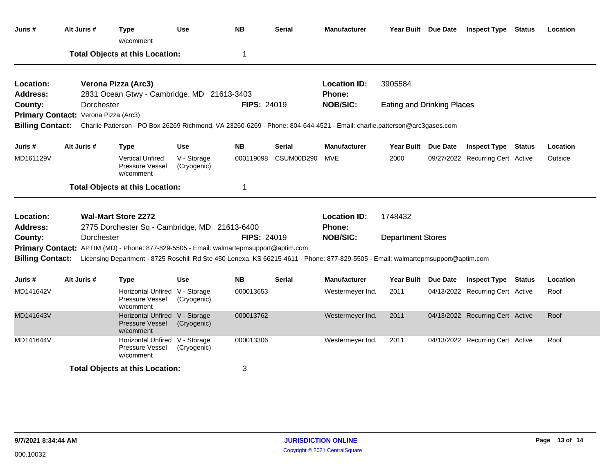| Juris #                 | Alt Juris #                                | <b>Type</b><br>w/comment                                                                                                                 | <b>Use</b>                 | <b>NB</b> | <b>Serial</b> | <b>Manufacturer</b> | Year Built Due Date               |                 | <b>Inspect Type</b>              | <b>Status</b> | Location |
|-------------------------|--------------------------------------------|------------------------------------------------------------------------------------------------------------------------------------------|----------------------------|-----------|---------------|---------------------|-----------------------------------|-----------------|----------------------------------|---------------|----------|
|                         |                                            | <b>Total Objects at this Location:</b>                                                                                                   |                            | -1        |               |                     |                                   |                 |                                  |               |          |
| Location:               |                                            | Verona Pizza (Arc3)                                                                                                                      |                            |           |               | <b>Location ID:</b> | 3905584                           |                 |                                  |               |          |
| <b>Address:</b>         | 2831 Ocean Gtwy - Cambridge, MD 21613-3403 |                                                                                                                                          |                            |           |               | Phone:              |                                   |                 |                                  |               |          |
| County:                 |                                            | Dorchester                                                                                                                               |                            |           | FIPS: 24019   | <b>NOB/SIC:</b>     | <b>Eating and Drinking Places</b> |                 |                                  |               |          |
|                         | Primary Contact: Verona Pizza (Arc3)       |                                                                                                                                          |                            |           |               |                     |                                   |                 |                                  |               |          |
|                         |                                            | Billing Contact: Charlie Patterson - PO Box 26269 Richmond, VA 23260-6269 - Phone: 804-644-4521 - Email: charlie.patterson@arc3gases.com |                            |           |               |                     |                                   |                 |                                  |               |          |
| Juris #                 | Alt Juris #                                | <b>Type</b>                                                                                                                              | <b>Use</b>                 | <b>NB</b> | <b>Serial</b> | <b>Manufacturer</b> | <b>Year Built</b>                 | <b>Due Date</b> | <b>Inspect Type</b>              | <b>Status</b> | Location |
| MD161129V               |                                            | <b>Vertical Unfired</b><br>Pressure Vessel<br>w/comment                                                                                  | V - Storage<br>(Cryogenic) | 000119098 | CSUM00D290    | MVE                 | 2000                              |                 | 09/27/2022 Recurring Cert Active |               | Outside  |
|                         |                                            | <b>Total Objects at this Location:</b>                                                                                                   |                            | 1         |               |                     |                                   |                 |                                  |               |          |
| Location:               |                                            | <b>Wal-Mart Store 2272</b>                                                                                                               |                            |           |               | <b>Location ID:</b> | 1748432                           |                 |                                  |               |          |
| <b>Address:</b>         |                                            | 2775 Dorchester Sq - Cambridge, MD 21613-6400                                                                                            |                            |           |               | <b>Phone:</b>       |                                   |                 |                                  |               |          |
| County:                 |                                            | Dorchester                                                                                                                               |                            |           | FIPS: 24019   | <b>NOB/SIC:</b>     | <b>Department Stores</b>          |                 |                                  |               |          |
|                         |                                            | Primary Contact: APTIM (MD) - Phone: 877-829-5505 - Email: walmartepmsupport@aptim.com                                                   |                            |           |               |                     |                                   |                 |                                  |               |          |
| <b>Billing Contact:</b> |                                            | Licensing Department - 8725 Rosehill Rd Ste 450 Lenexa, KS 66215-4611 - Phone: 877-829-5505 - Email: walmartepmsupport@aptim.com         |                            |           |               |                     |                                   |                 |                                  |               |          |
| Juris #                 | Alt Juris #                                | <b>Type</b>                                                                                                                              | <b>Use</b>                 | <b>NB</b> | <b>Serial</b> | <b>Manufacturer</b> | <b>Year Built</b>                 | Due Date        | <b>Inspect Type</b>              | Status        | Location |
| MD141642V               |                                            | Horizontal Unfired<br>Pressure Vessel<br>w/comment                                                                                       | V - Storage<br>(Cryogenic) | 000013653 |               | Westermeyer Ind.    | 2011                              |                 | 04/13/2022 Recurring Cert Active |               | Roof     |
| MD141643V               |                                            | Horizontal Unfired V - Storage<br>Pressure Vessel<br>w/comment                                                                           | (Cryogenic)                | 000013762 |               | Westermeyer Ind.    | 2011                              |                 | 04/13/2022 Recurring Cert Active |               | Roof     |
| MD141644V               |                                            | <b>Horizontal Unfired</b><br>Pressure Vessel<br>w/comment                                                                                | V - Storage<br>(Cryogenic) | 000013306 |               | Westermeyer Ind.    | 2011                              |                 | 04/13/2022 Recurring Cert Active |               | Roof     |
|                         |                                            | <b>Total Objects at this Location:</b>                                                                                                   |                            | 3         |               |                     |                                   |                 |                                  |               |          |